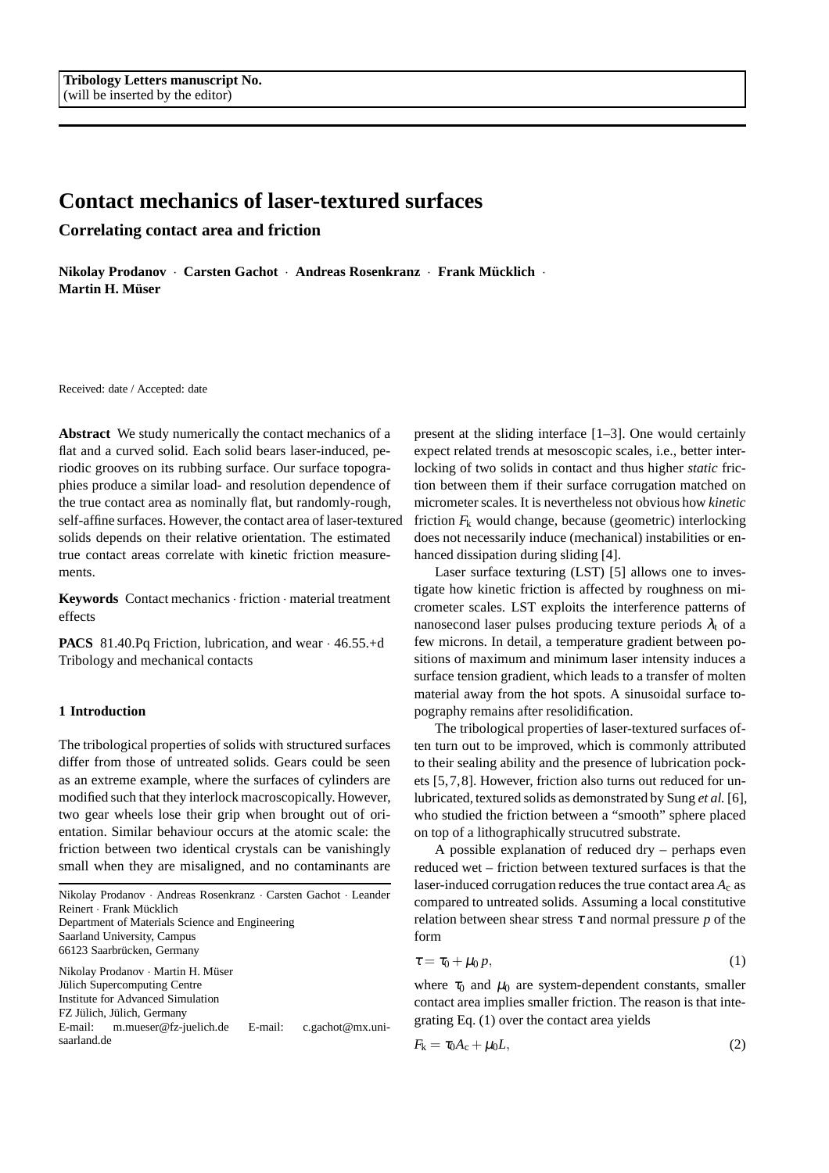# **Contact mechanics of laser-textured surfaces**

**Correlating contact area and friction**

**Nikolay Prodanov · Carsten Gachot · Andreas Rosenkranz · Frank Mücklich · Martin H. Müser** 

Received: date / Accepted: date

**Abstract** We study numerically the contact mechanics of a flat and a curved solid. Each solid bears laser-induced, periodic grooves on its rubbing surface. Our surface topographies produce a similar load- and resolution dependence of the true contact area as nominally flat, but randomly-rough, self-affine surfaces. However, the contact area of laser-textured solids depends on their relative orientation. The estimated true contact areas correlate with kinetic friction measurements.

**Keywords** Contact mechanics· friction · material treatment effects

**PACS** 81.40.Pq Friction, lubrication, and wear · 46.55.+d Tribology and mechanical contacts

## **1 Introduction**

The tribological properties of solids with structured surfaces differ from those of untreated solids. Gears could be seen as an extreme example, where the surfaces of cylinders are modified such that they interlock macroscopically. However, two gear wheels lose their grip when brought out of orientation. Similar behaviour occurs at the atomic scale: the friction between two identical crystals can be vanishingly small when they are misaligned, and no contaminants are

Nikolay Prodanov · Andreas Rosenkranz · Carsten Gachot · Leander Reinert · Frank Mücklich Department of Materials Science and Engineering Saarland University, Campus 66123 Saarbrücken, Germany Nikolay Prodanov · Martin H. Müser Jülich Supercomputing Centre Institute for Advanced Simulation FZ Jülich, Jülich, Germany E-mail: m.mueser@fz-juelich.de E-mail: c.gachot@mx.unisaarland.de

present at the sliding interface [1–3]. One would certainly expect related trends at mesoscopic scales, i.e., better interlocking of two solids in contact and thus higher *static* friction between them if their surface corrugation matched on micrometer scales. It is nevertheless not obvious how *kinetic* friction  $F_k$  would change, because (geometric) interlocking does not necessarily induce (mechanical) instabilities or enhanced dissipation during sliding [4].

Laser surface texturing (LST) [5] allows one to investigate how kinetic friction is affected by roughness on micrometer scales. LST exploits the interference patterns of nanosecond laser pulses producing texture periods  $\lambda_t$  of a few microns. In detail, a temperature gradient between positions of maximum and minimum laser intensity induces a surface tension gradient, which leads to a transfer of molten material away from the hot spots. A sinusoidal surface topography remains after resolidification.

The tribological properties of laser-textured surfaces often turn out to be improved, which is commonly attributed to their sealing ability and the presence of lubrication pockets [5,7,8]. However, friction also turns out reduced for unlubricated, textured solids as demonstrated by Sung *et al.* [6], who studied the friction between a "smooth" sphere placed on top of a lithographically strucutred substrate.

A possible explanation of reduced dry – perhaps even reduced wet – friction between textured surfaces is that the laser-induced corrugation reduces the true contact area *A*<sup>c</sup> as compared to untreated solids. Assuming a local constitutive relation between shear stress  $\tau$  and normal pressure  $p$  of the form

$$
\tau = \tau_0 + \mu_0 p,\tag{1}
$$

where  $\tau_0$  and  $\mu_0$  are system-dependent constants, smaller contact area implies smaller friction. The reason is that integrating Eq. (1) over the contact area yields

$$
F_{\mathbf{k}} = \tau_0 A_{\mathbf{c}} + \mu_0 L,\tag{2}
$$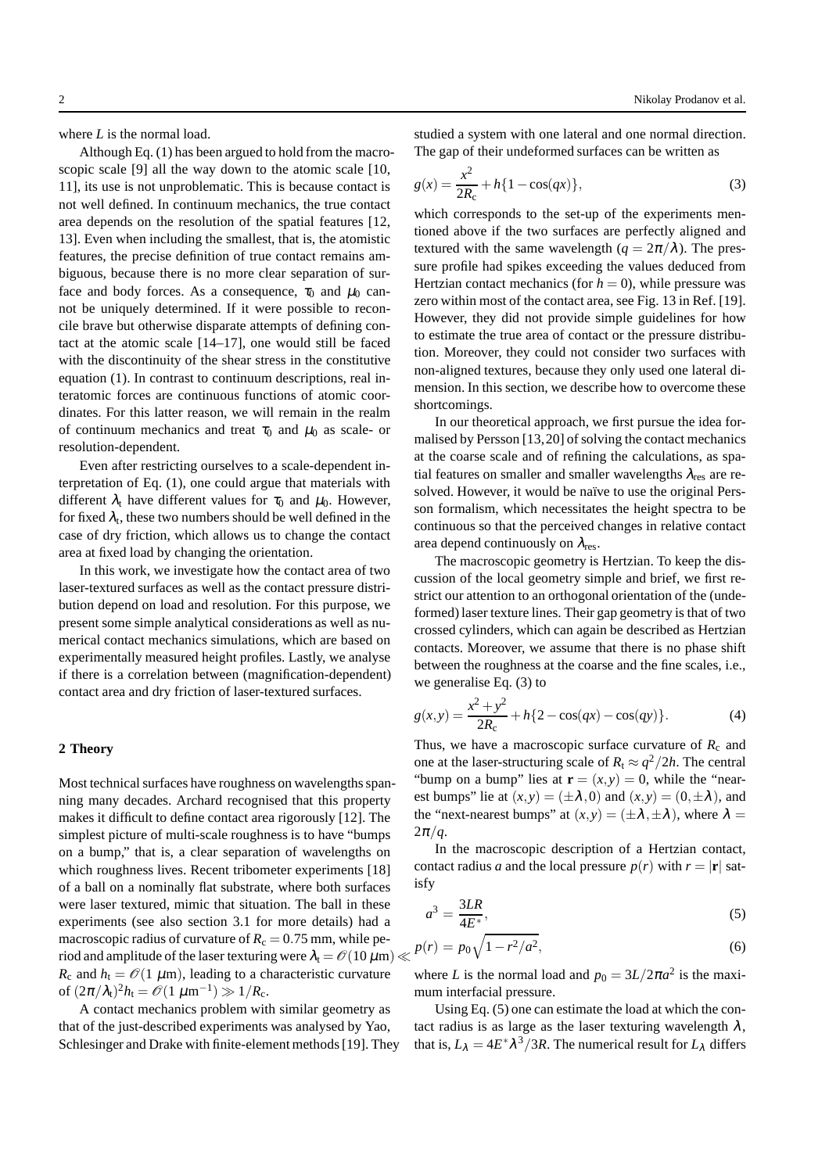where *L* is the normal load.

Although Eq. (1) has been argued to hold from the macroscopic scale [9] all the way down to the atomic scale [10, 11], its use is not unproblematic. This is because contact is not well defined. In continuum mechanics, the true contact area depends on the resolution of the spatial features [12, 13]. Even when including the smallest, that is, the atomistic features, the precise definition of true contact remains ambiguous, because there is no more clear separation of surface and body forces. As a consequence,  $\tau_0$  and  $\mu_0$  cannot be uniquely determined. If it were possible to reconcile brave but otherwise disparate attempts of defining contact at the atomic scale [14–17], one would still be faced with the discontinuity of the shear stress in the constitutive equation (1). In contrast to continuum descriptions, real interatomic forces are continuous functions of atomic coordinates. For this latter reason, we will remain in the realm of continuum mechanics and treat  $\tau_0$  and  $\mu_0$  as scale- or resolution-dependent.

Even after restricting ourselves to a scale-dependent interpretation of Eq. (1), one could argue that materials with different  $\lambda_t$  have different values for  $\tau_0$  and  $\mu_0$ . However, for fixed  $\lambda_{\rm t}$ , these two numbers should be well defined in the case of dry friction, which allows us to change the contact area at fixed load by changing the orientation.

In this work, we investigate how the contact area of two laser-textured surfaces as well as the contact pressure distribution depend on load and resolution. For this purpose, we present some simple analytical considerations as well as numerical contact mechanics simulations, which are based on experimentally measured height profiles. Lastly, we analyse if there is a correlation between (magnification-dependent) contact area and dry friction of laser-textured surfaces.

## **2 Theory**

Most technical surfaces have roughness on wavelengths spanning many decades. Archard recognised that this property makes it difficult to define contact area rigorously [12]. The simplest picture of multi-scale roughness is to have "bumps on a bump," that is, a clear separation of wavelengths on which roughness lives. Recent tribometer experiments [18] of a ball on a nominally flat substrate, where both surfaces were laser textured, mimic that situation. The ball in these experiments (see also section 3.1 for more details) had a macroscopic radius of curvature of  $R_c = 0.75$  mm, while period and amplitude of the laser texturing were  $\lambda_t = \mathcal{O}(10 \,\mu\text{m}) \ll$  $R_c$  and  $h_t = \mathcal{O}(1 \mu m)$ , leading to a characteristic curvature of  $(2\pi/\lambda_t)^2 h_t = \mathcal{O}(1 \ \mu m^{-1}) \gg 1/R_c$ .

A contact mechanics problem with similar geometry as that of the just-described experiments was analysed by Yao, Schlesinger and Drake with finite-element methods [19]. They studied a system with one lateral and one normal direction. The gap of their undeformed surfaces can be written as

$$
g(x) = \frac{x^2}{2R_c} + h\{1 - \cos(qx)\},
$$
\n(3)

which corresponds to the set-up of the experiments mentioned above if the two surfaces are perfectly aligned and textured with the same wavelength ( $q = 2\pi/\lambda$ ). The pressure profile had spikes exceeding the values deduced from Hertzian contact mechanics (for  $h = 0$ ), while pressure was zero within most of the contact area, see Fig. 13 in Ref. [19]. However, they did not provide simple guidelines for how to estimate the true area of contact or the pressure distribution. Moreover, they could not consider two surfaces with non-aligned textures, because they only used one lateral dimension. In this section, we describe how to overcome these shortcomings.

In our theoretical approach, we first pursue the idea formalised by Persson [13,20] of solving the contact mechanics at the coarse scale and of refining the calculations, as spatial features on smaller and smaller wavelengths  $\lambda_{res}$  are resolved. However, it would be naïve to use the original Persson formalism, which necessitates the height spectra to be continuous so that the perceived changes in relative contact area depend continuously on  $\lambda_{res}$ .

The macroscopic geometry is Hertzian. To keep the discussion of the local geometry simple and brief, we first restrict our attention to an orthogonal orientation of the (undeformed) laser texture lines. Their gap geometry is that of two crossed cylinders, which can again be described as Hertzian contacts. Moreover, we assume that there is no phase shift between the roughness at the coarse and the fine scales, i.e., we generalise Eq. (3) to

$$
g(x,y) = \frac{x^2 + y^2}{2R_c} + h\{2 - \cos(qx) - \cos(qy)\}.
$$
 (4)

Thus, we have a macroscopic surface curvature of  $R_c$  and one at the laser-structuring scale of  $R_t \approx q^2/2h$ . The central "bump on a bump" lies at  $\mathbf{r} = (x, y) = 0$ , while the "nearest bumps" lie at  $(x, y) = (\pm \lambda, 0)$  and  $(x, y) = (0, \pm \lambda)$ , and the "next-nearest bumps" at  $(x, y) = (\pm \lambda, \pm \lambda)$ , where  $\lambda =$  $2\pi/q$ .

In the macroscopic description of a Hertzian contact, contact radius *a* and the local pressure  $p(r)$  with  $r = |\mathbf{r}|$  satisfy

$$
a^3 = \frac{3LR}{4E^*},\tag{5}
$$

$$
p(r) = p_0 \sqrt{1 - r^2/a^2},\tag{6}
$$

where *L* is the normal load and  $p_0 = 3L/2\pi a^2$  is the maximum interfacial pressure.

Using Eq. (5) one can estimate the load at which the contact radius is as large as the laser texturing wavelength  $\lambda$ , that is,  $L_{\lambda} = 4E^* \lambda^3 / 3R$ . The numerical result for  $L_{\lambda}$  differs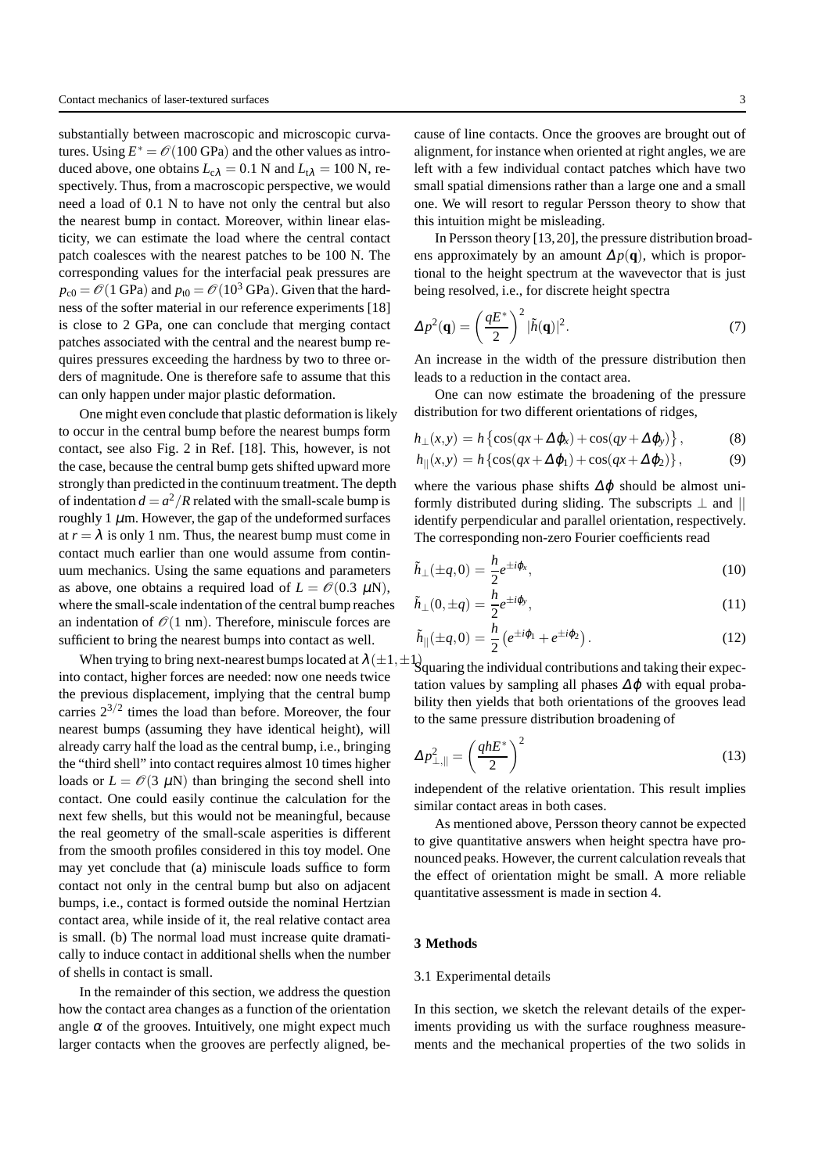substantially between macroscopic and microscopic curvatures. Using  $E^* = \mathcal{O}(100 \text{ GPa})$  and the other values as introduced above, one obtains  $L_{c\lambda} = 0.1$  N and  $L_{t\lambda} = 100$  N, respectively. Thus, from a macroscopic perspective, we would need a load of 0.1 N to have not only the central but also the nearest bump in contact. Moreover, within linear elasticity, we can estimate the load where the central contact patch coalesces with the nearest patches to be 100 N. The corresponding values for the interfacial peak pressures are  $p_{c0} = \mathcal{O}(1 \text{ GPa})$  and  $p_{t0} = \mathcal{O}(10^3 \text{ GPa})$ . Given that the hardness of the softer material in our reference experiments [18] is close to 2 GPa, one can conclude that merging contact patches associated with the central and the nearest bump requires pressures exceeding the hardness by two to three orders of magnitude. One is therefore safe to assume that this can only happen under major plastic deformation.

One might even conclude that plastic deformation is likely to occur in the central bump before the nearest bumps form contact, see also Fig. 2 in Ref. [18]. This, however, is not the case, because the central bump gets shifted upward more strongly than predicted in the continuum treatment. The depth of indentation  $d = a^2/R$  related with the small-scale bump is roughly 1  $\mu$ m. However, the gap of the undeformed surfaces at  $r = \lambda$  is only 1 nm. Thus, the nearest bump must come in contact much earlier than one would assume from continuum mechanics. Using the same equations and parameters as above, one obtains a required load of  $L = \mathcal{O}(0.3 \mu\text{N})$ , where the small-scale indentation of the central bump reaches an indentation of  $\mathcal{O}(1 \text{ nm})$ . Therefore, miniscule forces are sufficient to bring the nearest bumps into contact as well.

When trying to bring next-nearest bumps located at  $\lambda(\pm 1,\pm 1)$ into contact, higher forces are needed: now one needs twice the previous displacement, implying that the central bump carries  $2^{3/2}$  times the load than before. Moreover, the four nearest bumps (assuming they have identical height), will already carry half the load as the central bump, i.e., bringing the "third shell" into contact requires almost 10 times higher loads or  $L = \mathcal{O}(3 \mu N)$  than bringing the second shell into contact. One could easily continue the calculation for the next few shells, but this would not be meaningful, because the real geometry of the small-scale asperities is different from the smooth profiles considered in this toy model. One may yet conclude that (a) miniscule loads suffice to form contact not only in the central bump but also on adjacent bumps, i.e., contact is formed outside the nominal Hertzian contact area, while inside of it, the real relative contact area is small. (b) The normal load must increase quite dramatically to induce contact in additional shells when the number of shells in contact is small.

In the remainder of this section, we address the question how the contact area changes as a function of the orientation angle  $\alpha$  of the grooves. Intuitively, one might expect much larger contacts when the grooves are perfectly aligned, because of line contacts. Once the grooves are brought out of alignment, for instance when oriented at right angles, we are left with a few individual contact patches which have two small spatial dimensions rather than a large one and a small one. We will resort to regular Persson theory to show that this intuition might be misleading.

In Persson theory [13,20], the pressure distribution broadens approximately by an amount  $\Delta p(\mathbf{q})$ , which is proportional to the height spectrum at the wavevector that is just being resolved, i.e., for discrete height spectra

$$
\Delta p^2(\mathbf{q}) = \left(\frac{qE^*}{2}\right)^2 |\tilde{h}(\mathbf{q})|^2. \tag{7}
$$

An increase in the width of the pressure distribution then leads to a reduction in the contact area.

One can now estimate the broadening of the pressure distribution for two different orientations of ridges,

$$
h_{\perp}(x,y) = h \left\{ \cos(qx + \Delta \varphi_x) + \cos(qy + \Delta \varphi_y) \right\},\tag{8}
$$

$$
h_{\parallel}(x,y) = h \left\{ \cos(qx + \Delta \varphi_1) + \cos(qx + \Delta \varphi_2) \right\},\tag{9}
$$

where the various phase shifts  $\Delta\varphi$  should be almost uniformly distributed during sliding. The subscripts  $\perp$  and  $\parallel$ identify perpendicular and parallel orientation, respectively. The corresponding non-zero Fourier coefficients read

$$
\tilde{h}_{\perp}(\pm q,0) = \frac{h}{2}e^{\pm i\varphi_{x}},\qquad(10)
$$

$$
\tilde{h}_{\perp}(0,\pm q) = \frac{h}{2}e^{\pm i\phi_{y}},\qquad(11)
$$

$$
\tilde{h}_{||}(\pm q,0) = \frac{h}{2} \left( e^{\pm i\varphi_1} + e^{\pm i\varphi_2} \right).
$$
 (12)

Squaring the individual contributions and taking their expectation values by sampling all phases  $\Delta\varphi$  with equal probability then yields that both orientations of the grooves lead to the same pressure distribution broadening of

$$
\Delta p_{\perp,||}^2 = \left(\frac{qhE^*}{2}\right)^2\tag{13}
$$

independent of the relative orientation. This result implies similar contact areas in both cases.

As mentioned above, Persson theory cannot be expected to give quantitative answers when height spectra have pronounced peaks. However, the current calculation reveals that the effect of orientation might be small. A more reliable quantitative assessment is made in section 4.

## **3 Methods**

#### 3.1 Experimental details

In this section, we sketch the relevant details of the experiments providing us with the surface roughness measurements and the mechanical properties of the two solids in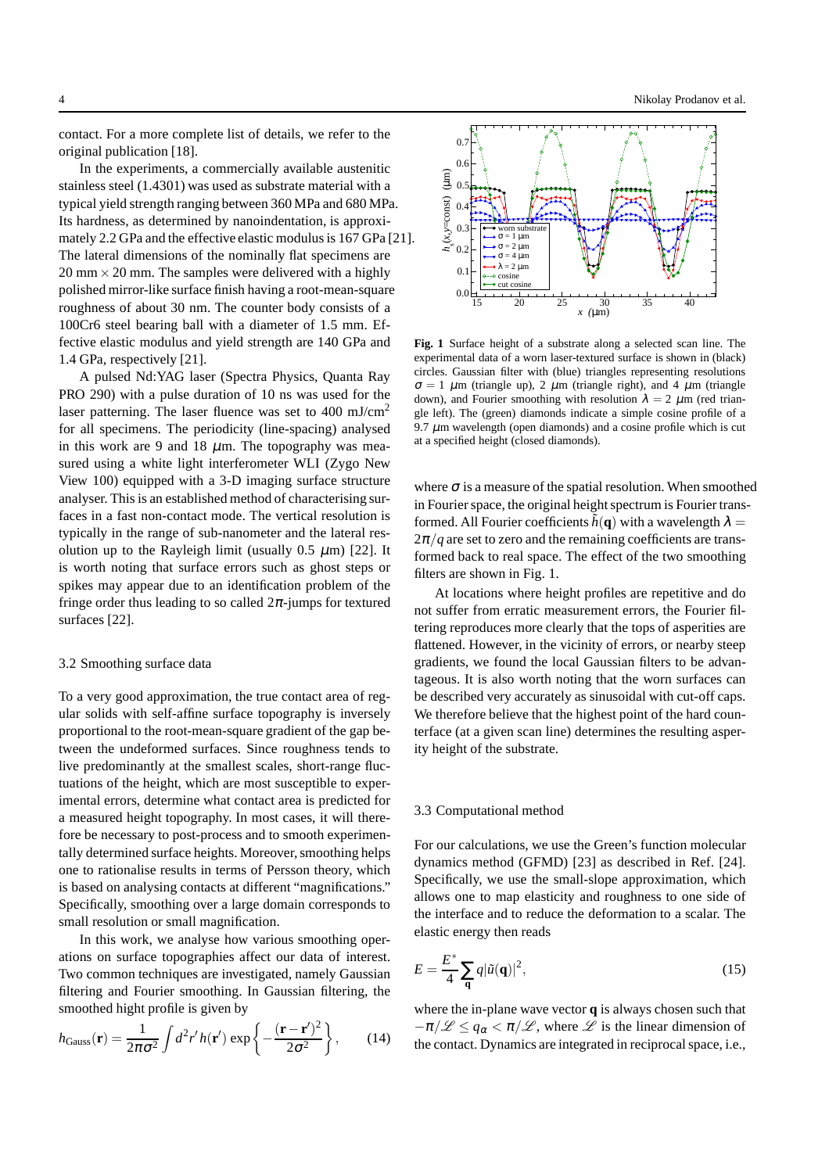contact. For a more complete list of details, we refer to the original publication [18].

In the experiments, a commercially available austenitic stainless steel (1.4301) was used as substrate material with a typical yield strength ranging between 360 MPa and 680 MPa. Its hardness, as determined by nanoindentation, is approximately 2.2 GPa and the effective elastic modulus is 167 GPa [21]. The lateral dimensions of the nominally flat specimens are  $20 \text{ mm} \times 20 \text{ mm}$ . The samples were delivered with a highly polished mirror-like surface finish having a root-mean-square roughness of about 30 nm. The counter body consists of a 100Cr6 steel bearing ball with a diameter of 1.5 mm. Effective elastic modulus and yield strength are 140 GPa and 1.4 GPa, respectively [21].

A pulsed Nd:YAG laser (Spectra Physics, Quanta Ray PRO 290) with a pulse duration of 10 ns was used for the laser patterning. The laser fluence was set to 400 mJ/cm<sup>2</sup> for all specimens. The periodicity (line-spacing) analysed in this work are 9 and 18  $\mu$ m. The topography was measured using a white light interferometer WLI (Zygo New View 100) equipped with a 3-D imaging surface structure analyser. This is an established method of characterising surfaces in a fast non-contact mode. The vertical resolution is typically in the range of sub-nanometer and the lateral resolution up to the Rayleigh limit (usually  $0.5 \mu m$ ) [22]. It is worth noting that surface errors such as ghost steps or spikes may appear due to an identification problem of the fringe order thus leading to so called  $2\pi$ -jumps for textured surfaces [22].

## 3.2 Smoothing surface data

To a very good approximation, the true contact area of regular solids with self-affine surface topography is inversely proportional to the root-mean-square gradient of the gap between the undeformed surfaces. Since roughness tends to live predominantly at the smallest scales, short-range fluctuations of the height, which are most susceptible to experimental errors, determine what contact area is predicted for a measured height topography. In most cases, it will therefore be necessary to post-process and to smooth experimentally determined surface heights. Moreover, smoothing helps one to rationalise results in terms of Persson theory, which is based on analysing contacts at different "magnifications." Specifically, smoothing over a large domain corresponds to small resolution or small magnification.

In this work, we analyse how various smoothing operations on surface topographies affect our data of interest. Two common techniques are investigated, namely Gaussian filtering and Fourier smoothing. In Gaussian filtering, the smoothed hight profile is given by

$$
h_{\text{Gauss}}(\mathbf{r}) = \frac{1}{2\pi\sigma^2} \int d^2 r' h(\mathbf{r}') \exp\left\{-\frac{(\mathbf{r} - \mathbf{r}')^2}{2\sigma^2}\right\},\qquad(14)
$$



**Fig. 1** Surface height of a substrate along a selected scan line. The experimental data of a worn laser-textured surface is shown in (black) circles. Gaussian filter with (blue) triangles representing resolutions  $\sigma = 1 \mu m$  (triangle up), 2  $\mu m$  (triangle right), and 4  $\mu m$  (triangle down), and Fourier smoothing with resolution  $\lambda = 2 \mu m$  (red triangle left). The (green) diamonds indicate a simple cosine profile of a 9.7  $\mu$ m wavelength (open diamonds) and a cosine profile which is cut at a specified height (closed diamonds).

15 20 25 30 35 40 *x (*µm)

0.0 0.1 0.2  $0.3$  $0.4$  $\Omega$  $\overline{0}$ .  $0.7$ 

worn substra  $σ = 1$  um  $= 2 \mu m$  $\sigma = 4$  um  $λ = 2 μm$ cosin cut cosine

*h*s

(*x*,*y*=const) (µm)

where  $\sigma$  is a measure of the spatial resolution. When smoothed in Fourier space, the original height spectrum is Fourier transformed. All Fourier coefficients  $\tilde{h}(\mathbf{q})$  with a wavelength  $\lambda =$  $2\pi/q$  are set to zero and the remaining coefficients are transformed back to real space. The effect of the two smoothing filters are shown in Fig. 1.

At locations where height profiles are repetitive and do not suffer from erratic measurement errors, the Fourier filtering reproduces more clearly that the tops of asperities are flattened. However, in the vicinity of errors, or nearby steep gradients, we found the local Gaussian filters to be advantageous. It is also worth noting that the worn surfaces can be described very accurately as sinusoidal with cut-off caps. We therefore believe that the highest point of the hard counterface (at a given scan line) determines the resulting asperity height of the substrate.

#### 3.3 Computational method

For our calculations, we use the Green's function molecular dynamics method (GFMD) [23] as described in Ref. [24]. Specifically, we use the small-slope approximation, which allows one to map elasticity and roughness to one side of the interface and to reduce the deformation to a scalar. The elastic energy then reads

$$
E = \frac{E^*}{4} \sum_{\mathbf{q}} q |\tilde{u}(\mathbf{q})|^2,
$$
\n(15)

where the in-plane wave vector **q** is always chosen such that  $-\pi/\mathscr{L} \leq q_{\alpha} < \pi/\mathscr{L}$ , where  $\mathscr{L}$  is the linear dimension of the contact. Dynamics are integrated in reciprocal space, i.e.,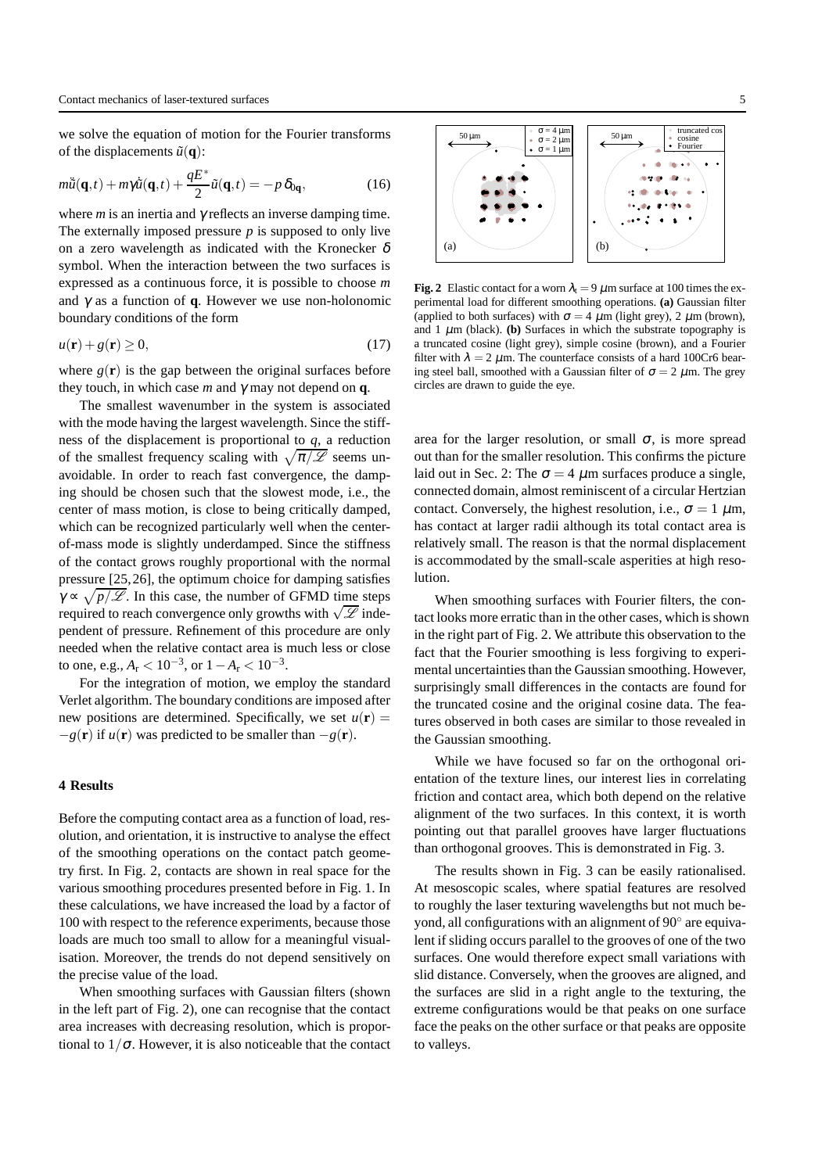we solve the equation of motion for the Fourier transforms of the displacements  $\tilde{u}(\mathbf{q})$ :

$$
m\ddot{\tilde{u}}(\mathbf{q},t) + m\gamma \dot{\tilde{u}}(\mathbf{q},t) + \frac{qE^*}{2}\tilde{u}(\mathbf{q},t) = -p\,\delta_{0\mathbf{q}},\tag{16}
$$

where  $m$  is an inertia and  $\gamma$  reflects an inverse damping time. The externally imposed pressure *p* is supposed to only live on a zero wavelength as indicated with the Kronecker  $\delta$ symbol. When the interaction between the two surfaces is expressed as a continuous force, it is possible to choose *m* and γ as a function of **q**. However we use non-holonomic boundary conditions of the form

$$
u(\mathbf{r}) + g(\mathbf{r}) \ge 0,\tag{17}
$$

where  $g(\mathbf{r})$  is the gap between the original surfaces before they touch, in which case  $m$  and  $\gamma$  may not depend on **q**.

The smallest wavenumber in the system is associated with the mode having the largest wavelength. Since the stiffness of the displacement is proportional to *q*, a reduction of the smallest frequency scaling with  $\sqrt{\pi/\mathscr{L}}$  seems unavoidable. In order to reach fast convergence, the damping should be chosen such that the slowest mode, i.e., the center of mass motion, is close to being critically damped, which can be recognized particularly well when the centerof-mass mode is slightly underdamped. Since the stiffness of the contact grows roughly proportional with the normal pressure [25,26], the optimum choice for damping satisfies  $\gamma \propto \sqrt{p/\mathscr{L}}$ . In this case, the number of GFMD time steps required to reach convergence only growths with  $\sqrt{\mathscr{L}}$  independent of pressure. Refinement of this procedure are only needed when the relative contact area is much less or close to one, e.g.,  $A_r < 10^{-3}$ , or  $1 - A_r < 10^{-3}$ .

For the integration of motion, we employ the standard Verlet algorithm. The boundary conditions are imposed after new positions are determined. Specifically, we set  $u(\mathbf{r}) =$  $-g(\mathbf{r})$  if  $u(\mathbf{r})$  was predicted to be smaller than  $-g(\mathbf{r})$ .

#### **4 Results**

Before the computing contact area as a function of load, resolution, and orientation, it is instructive to analyse the effect of the smoothing operations on the contact patch geometry first. In Fig. 2, contacts are shown in real space for the various smoothing procedures presented before in Fig. 1. In these calculations, we have increased the load by a factor of 100 with respect to the reference experiments, because those loads are much too small to allow for a meaningful visualisation. Moreover, the trends do not depend sensitively on the precise value of the load.

When smoothing surfaces with Gaussian filters (shown in the left part of Fig. 2), one can recognise that the contact area increases with decreasing resolution, which is proportional to  $1/\sigma$ . However, it is also noticeable that the contact



**Fig. 2** Elastic contact for a worn  $\lambda_t = 9 \mu$ m surface at 100 times the experimental load for different smoothing operations. **(a)** Gaussian filter (applied to both surfaces) with  $\sigma = 4 \mu m$  (light grey), 2  $\mu m$  (brown), and  $1 \mu$ m (black). **(b)** Surfaces in which the substrate topography is a truncated cosine (light grey), simple cosine (brown), and a Fourier filter with  $\lambda = 2 \mu$ m. The counterface consists of a hard 100Cr6 bearing steel ball, smoothed with a Gaussian filter of  $\sigma = 2 \mu$ m. The grey circles are drawn to guide the eye.

area for the larger resolution, or small  $\sigma$ , is more spread out than for the smaller resolution. This confirms the picture laid out in Sec. 2: The  $\sigma = 4 \mu m$  surfaces produce a single, connected domain, almost reminiscent of a circular Hertzian contact. Conversely, the highest resolution, i.e.,  $\sigma = 1 \mu m$ , has contact at larger radii although its total contact area is relatively small. The reason is that the normal displacement is accommodated by the small-scale asperities at high resolution.

When smoothing surfaces with Fourier filters, the contact looks more erratic than in the other cases, which is shown in the right part of Fig. 2. We attribute this observation to the fact that the Fourier smoothing is less forgiving to experimental uncertainties than the Gaussian smoothing. However, surprisingly small differences in the contacts are found for the truncated cosine and the original cosine data. The features observed in both cases are similar to those revealed in the Gaussian smoothing.

While we have focused so far on the orthogonal orientation of the texture lines, our interest lies in correlating friction and contact area, which both depend on the relative alignment of the two surfaces. In this context, it is worth pointing out that parallel grooves have larger fluctuations than orthogonal grooves. This is demonstrated in Fig. 3.

The results shown in Fig. 3 can be easily rationalised. At mesoscopic scales, where spatial features are resolved to roughly the laser texturing wavelengths but not much beyond, all configurations with an alignment of 90° are equivalent if sliding occurs parallel to the grooves of one of the two surfaces. One would therefore expect small variations with slid distance. Conversely, when the grooves are aligned, and the surfaces are slid in a right angle to the texturing, the extreme configurations would be that peaks on one surface face the peaks on the other surface or that peaks are opposite to valleys.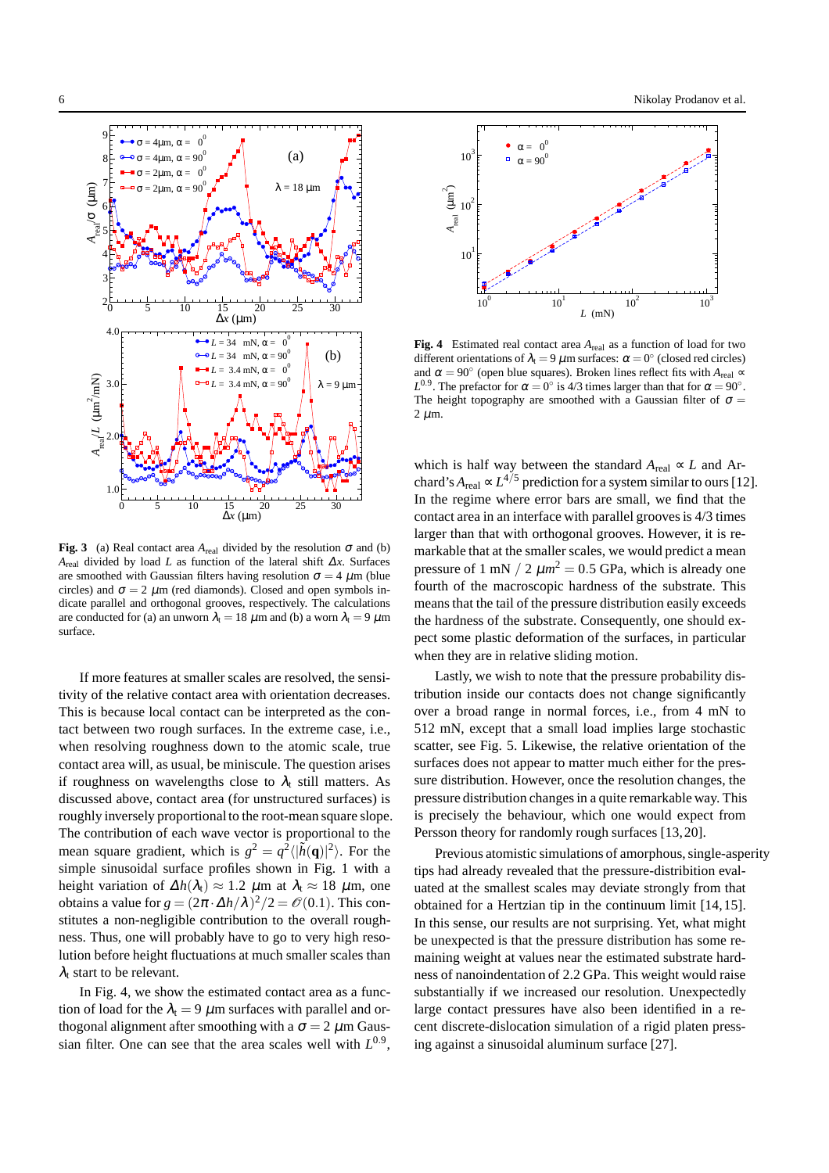

**Fig. 3** (a) Real contact area  $A_{\text{real}}$  divided by the resolution  $\sigma$  and (b) *A*<sub>real</sub> divided by load *L* as function of the lateral shift  $\Delta x$ . Surfaces are smoothed with Gaussian filters having resolution  $\sigma = 4 \mu m$  (blue circles) and  $\sigma = 2 \mu m$  (red diamonds). Closed and open symbols indicate parallel and orthogonal grooves, respectively. The calculations are conducted for (a) an unworn  $\lambda_t = 18 \mu \text{m}$  and (b) a worn  $\lambda_t = 9 \mu \text{m}$ surface.

If more features at smaller scales are resolved, the sensitivity of the relative contact area with orientation decreases. This is because local contact can be interpreted as the contact between two rough surfaces. In the extreme case, i.e., when resolving roughness down to the atomic scale, true contact area will, as usual, be miniscule. The question arises if roughness on wavelengths close to  $\lambda_t$  still matters. As discussed above, contact area (for unstructured surfaces) is roughly inversely proportional to the root-mean square slope. The contribution of each wave vector is proportional to the mean square gradient, which is  $g^2 = q^2 \langle |\tilde{h}(\mathbf{q})|^2 \rangle$ . For the simple sinusoidal surface profiles shown in Fig. 1 with a height variation of  $\Delta h(\lambda_t) \approx 1.2 \mu$ m at  $\lambda_t \approx 18 \mu$ m, one obtains a value for  $g = (2\pi \cdot \Delta h/\lambda)^2/2 = \mathcal{O}(0.1)$ . This constitutes a non-negligible contribution to the overall roughness. Thus, one will probably have to go to very high resolution before height fluctuations at much smaller scales than  $\lambda_t$  start to be relevant.

In Fig. 4, we show the estimated contact area as a function of load for the  $\lambda_t = 9 \mu m$  surfaces with parallel and orthogonal alignment after smoothing with a  $\sigma = 2 \mu$ m Gaussian filter. One can see that the area scales well with  $L^{0.9}$ ,



**Fig. 4** Estimated real contact area *A*real as a function of load for two different orientations of  $\lambda_t = 9 \mu$ m surfaces:  $\alpha = 0^{\circ}$  (closed red circles) and  $\alpha = 90^\circ$  (open blue squares). Broken lines reflect fits with  $A_{\text{real}} \approx$ *L*<sup>0.9</sup>. The prefactor for  $\alpha = 0^\circ$  is 4/3 times larger than that for  $\alpha = 90^\circ$ . The height topography are smoothed with a Gaussian filter of  $\sigma =$  $2 \mu m$ .

which is half way between the standard  $A_{\text{real}} \propto L$  and Archard's  $A_{\text{real}} \propto L^{4/5}$  prediction for a system similar to ours [12]. In the regime where error bars are small, we find that the contact area in an interface with parallel grooves is 4/3 times larger than that with orthogonal grooves. However, it is remarkable that at the smaller scales, we would predict a mean pressure of 1 mN  $/ 2 \mu m^2 = 0.5$  GPa, which is already one fourth of the macroscopic hardness of the substrate. This means that the tail of the pressure distribution easily exceeds the hardness of the substrate. Consequently, one should expect some plastic deformation of the surfaces, in particular when they are in relative sliding motion.

Lastly, we wish to note that the pressure probability distribution inside our contacts does not change significantly over a broad range in normal forces, i.e., from 4 mN to 512 mN, except that a small load implies large stochastic scatter, see Fig. 5. Likewise, the relative orientation of the surfaces does not appear to matter much either for the pressure distribution. However, once the resolution changes, the pressure distribution changes in a quite remarkable way. This is precisely the behaviour, which one would expect from Persson theory for randomly rough surfaces [13,20].

Previous atomistic simulations of amorphous, single-asperity tips had already revealed that the pressure-distribition evaluated at the smallest scales may deviate strongly from that obtained for a Hertzian tip in the continuum limit [14,15]. In this sense, our results are not surprising. Yet, what might be unexpected is that the pressure distribution has some remaining weight at values near the estimated substrate hardness of nanoindentation of 2.2 GPa. This weight would raise substantially if we increased our resolution. Unexpectedly large contact pressures have also been identified in a recent discrete-dislocation simulation of a rigid platen pressing against a sinusoidal aluminum surface [27].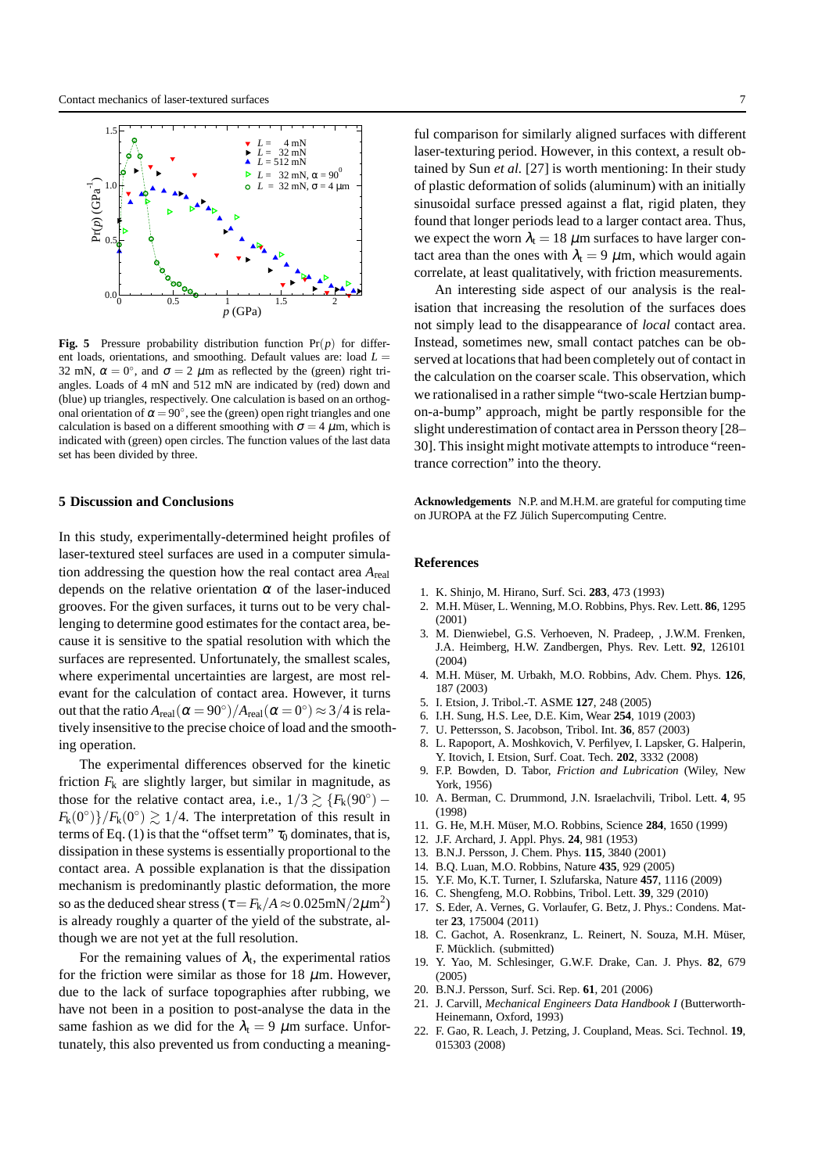

**Fig. 5** Pressure probability distribution function  $Pr(p)$  for different loads, orientations, and smoothing. Default values are: load  $L =$ 32 mN,  $\alpha = 0^{\circ}$ , and  $\sigma = 2 \mu$ m as reflected by the (green) right triangles. Loads of 4 mN and 512 mN are indicated by (red) down and (blue) up triangles, respectively. One calculation is based on an orthogonal orientation of  $\alpha = 90^{\circ}$ , see the (green) open right triangles and one calculation is based on a different smoothing with  $\sigma = 4 \mu$ m, which is indicated with (green) open circles. The function values of the last data set has been divided by three.

## **5 Discussion and Conclusions**

In this study, experimentally-determined height profiles of laser-textured steel surfaces are used in a computer simulation addressing the question how the real contact area *A*real depends on the relative orientation  $\alpha$  of the laser-induced grooves. For the given surfaces, it turns out to be very challenging to determine good estimates for the contact area, because it is sensitive to the spatial resolution with which the surfaces are represented. Unfortunately, the smallest scales, where experimental uncertainties are largest, are most relevant for the calculation of contact area. However, it turns out that the ratio  $A_{\rm real}(\alpha = 90^{\circ})/A_{\rm real}(\alpha = 0^{\circ}) \approx 3/4$  is relatively insensitive to the precise choice of load and the smoothing operation.

The experimental differences observed for the kinetic friction  $F_k$  are slightly larger, but similar in magnitude, as those for the relative contact area, i.e.,  $1/3 \gtrsim \{F_k(90^\circ) F_k(0^{\circ})\}/F_k(0^{\circ}) \gtrsim 1/4$ . The interpretation of this result in terms of Eq. (1) is that the "offset term"  $\tau_0$  dominates, that is, dissipation in these systems is essentially proportional to the contact area. A possible explanation is that the dissipation mechanism is predominantly plastic deformation, the more so as the deduced shear stress ( $\tau = F_k/A \approx 0.025 \text{mN}/2 \mu \text{m}^2$ ) is already roughly a quarter of the yield of the substrate, although we are not yet at the full resolution.

For the remaining values of  $\lambda_t$ , the experimental ratios for the friction were similar as those for 18  $\mu$ m. However, due to the lack of surface topographies after rubbing, we have not been in a position to post-analyse the data in the same fashion as we did for the  $\lambda_t = 9 \mu m$  surface. Unfortunately, this also prevented us from conducting a meaningful comparison for similarly aligned surfaces with different laser-texturing period. However, in this context, a result obtained by Sun *et al.* [27] is worth mentioning: In their study of plastic deformation of solids (aluminum) with an initially sinusoidal surface pressed against a flat, rigid platen, they found that longer periods lead to a larger contact area. Thus, we expect the worn  $\lambda_t = 18 \mu m$  surfaces to have larger contact area than the ones with  $\lambda_t = 9 \mu m$ , which would again correlate, at least qualitatively, with friction measurements.

An interesting side aspect of our analysis is the realisation that increasing the resolution of the surfaces does not simply lead to the disappearance of *local* contact area. Instead, sometimes new, small contact patches can be observed at locations that had been completely out of contact in the calculation on the coarser scale. This observation, which we rationalised in a rather simple "two-scale Hertzian bumpon-a-bump" approach, might be partly responsible for the slight underestimation of contact area in Persson theory [28– 30]. This insight might motivate attempts to introduce "reentrance correction" into the theory.

**Acknowledgements** N.P. and M.H.M. are grateful for computing time on JUROPA at the FZ Jülich Supercomputing Centre.

#### **References**

- 1. K. Shinjo, M. Hirano, Surf. Sci. **283**, 473 (1993)
- 2. M.H. M¨user, L. Wenning, M.O. Robbins, Phys. Rev. Lett. **86**, 1295 (2001)
- 3. M. Dienwiebel, G.S. Verhoeven, N. Pradeep, , J.W.M. Frenken, J.A. Heimberg, H.W. Zandbergen, Phys. Rev. Lett. **92**, 126101 (2004)
- 4. M.H. Müser, M. Urbakh, M.O. Robbins, Adv. Chem. Phys. 126, 187 (2003)
- 5. I. Etsion, J. Tribol.-T. ASME **127**, 248 (2005)
- 6. I.H. Sung, H.S. Lee, D.E. Kim, Wear **254**, 1019 (2003)
- 7. U. Pettersson, S. Jacobson, Tribol. Int. **36**, 857 (2003)
- 8. L. Rapoport, A. Moshkovich, V. Perfilyev, I. Lapsker, G. Halperin, Y. Itovich, I. Etsion, Surf. Coat. Tech. **202**, 3332 (2008)
- 9. F.P. Bowden, D. Tabor, *Friction and Lubrication* (Wiley, New York, 1956)
- 10. A. Berman, C. Drummond, J.N. Israelachvili, Tribol. Lett. **4**, 95 (1998)
- 11. G. He, M.H. M¨user, M.O. Robbins, Science **284**, 1650 (1999)
- 12. J.F. Archard, J. Appl. Phys. **24**, 981 (1953)
- 13. B.N.J. Persson, J. Chem. Phys. **115**, 3840 (2001)
- 14. B.Q. Luan, M.O. Robbins, Nature **435**, 929 (2005)
- 15. Y.F. Mo, K.T. Turner, I. Szlufarska, Nature **457**, 1116 (2009)
- 16. C. Shengfeng, M.O. Robbins, Tribol. Lett. **39**, 329 (2010)
- 17. S. Eder, A. Vernes, G. Vorlaufer, G. Betz, J. Phys.: Condens. Matter **23**, 175004 (2011)
- 18. C. Gachot, A. Rosenkranz, L. Reinert, N. Souza, M.H. Müser, F. Mücklich. (submitted)
- 19. Y. Yao, M. Schlesinger, G.W.F. Drake, Can. J. Phys. **82**, 679 (2005)
- 20. B.N.J. Persson, Surf. Sci. Rep. **61**, 201 (2006)
- 21. J. Carvill, *Mechanical Engineers Data Handbook I* (Butterworth-Heinemann, Oxford, 1993)
- 22. F. Gao, R. Leach, J. Petzing, J. Coupland, Meas. Sci. Technol. **19**, 015303 (2008)